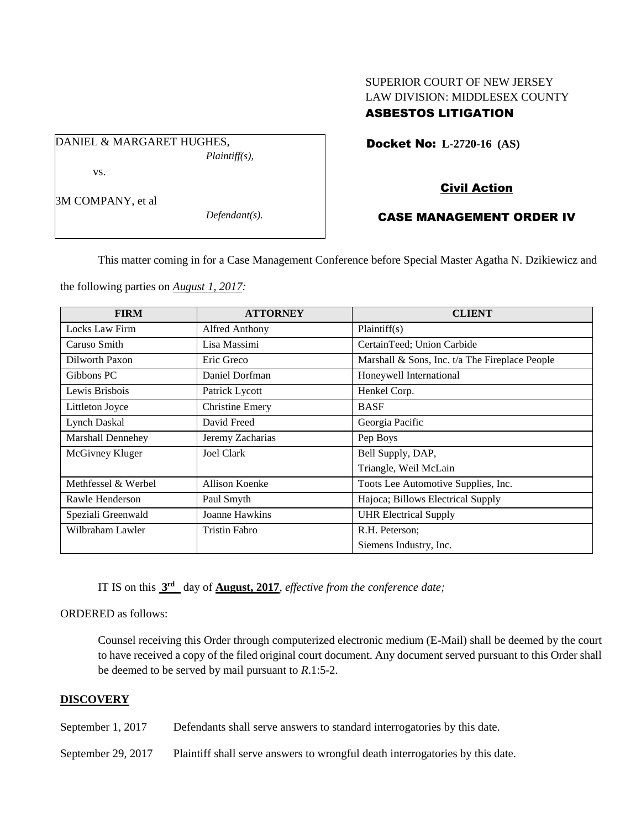# SUPERIOR COURT OF NEW JERSEY LAW DIVISION: MIDDLESEX COUNTY ASBESTOS LITIGATION

Docket No: **L-2720-16 (AS)** 

DANIEL & MARGARET HUGHES, *Plaintiff(s),* vs.

3M COMPANY, et al

*Defendant(s).*

# Civil Action

### CASE MANAGEMENT ORDER IV

This matter coming in for a Case Management Conference before Special Master Agatha N. Dzikiewicz and

the following parties on *August 1, 2017:*

| <b>FIRM</b>         | <b>ATTORNEY</b>        | <b>CLIENT</b>                                  |
|---------------------|------------------------|------------------------------------------------|
| Locks Law Firm      | Alfred Anthony         | Plaintiff(s)                                   |
| Caruso Smith        | Lisa Massimi           | CertainTeed; Union Carbide                     |
| Dilworth Paxon      | Eric Greco             | Marshall & Sons, Inc. t/a The Fireplace People |
| Gibbons PC          | Daniel Dorfman         | Honeywell International                        |
| Lewis Brisbois      | Patrick Lycott         | Henkel Corp.                                   |
| Littleton Joyce     | <b>Christine Emery</b> | <b>BASF</b>                                    |
| <b>Lynch Daskal</b> | David Freed            | Georgia Pacific                                |
| Marshall Dennehey   | Jeremy Zacharias       | Pep Boys                                       |
| McGivney Kluger     | <b>Joel Clark</b>      | Bell Supply, DAP,                              |
|                     |                        | Triangle, Weil McLain                          |
| Methfessel & Werbel | Allison Koenke         | Toots Lee Automotive Supplies, Inc.            |
| Rawle Henderson     | Paul Smyth             | Hajoca; Billows Electrical Supply              |
| Speziali Greenwald  | Joanne Hawkins         | <b>UHR Electrical Supply</b>                   |
| Wilbraham Lawler    | <b>Tristin Fabro</b>   | R.H. Peterson;                                 |
|                     |                        | Siemens Industry, Inc.                         |

IT IS on this **3 rd** day of **August, 2017**, *effective from the conference date;*

ORDERED as follows:

Counsel receiving this Order through computerized electronic medium (E-Mail) shall be deemed by the court to have received a copy of the filed original court document. Any document served pursuant to this Order shall be deemed to be served by mail pursuant to *R*.1:5-2.

### **DISCOVERY**

September 1, 2017 Defendants shall serve answers to standard interrogatories by this date.

September 29, 2017 Plaintiff shall serve answers to wrongful death interrogatories by this date.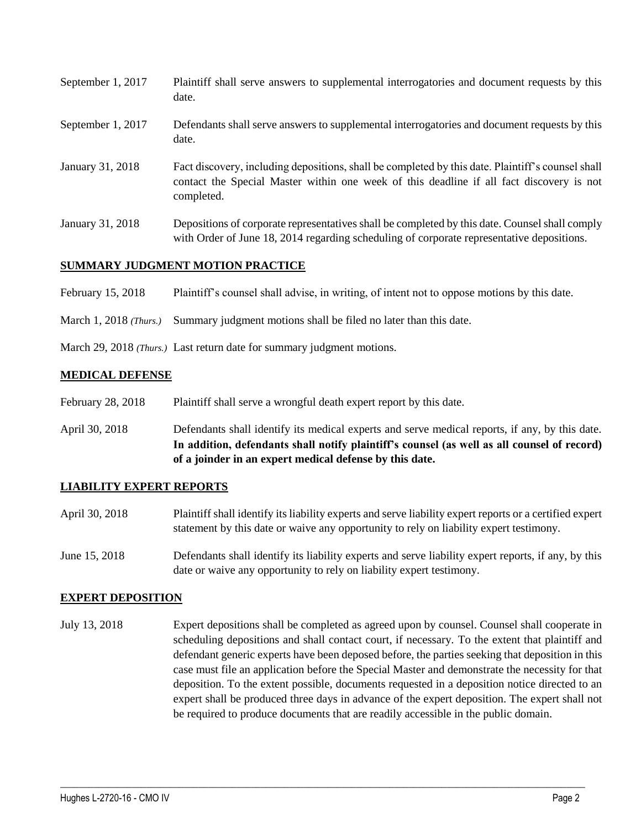| September 1, 2017 | Plaintiff shall serve answers to supplemental interrogatories and document requests by this<br>date.                                                                                                        |
|-------------------|-------------------------------------------------------------------------------------------------------------------------------------------------------------------------------------------------------------|
| September 1, 2017 | Defendants shall serve answers to supplemental interrogatories and document requests by this<br>date.                                                                                                       |
| January 31, 2018  | Fact discovery, including depositions, shall be completed by this date. Plaintiff's counsel shall<br>contact the Special Master within one week of this deadline if all fact discovery is not<br>completed. |
| January 31, 2018  | Depositions of corporate representatives shall be completed by this date. Counsel shall comply<br>with Order of June 18, 2014 regarding scheduling of corporate representative depositions.                 |

### **SUMMARY JUDGMENT MOTION PRACTICE**

February 15, 2018 Plaintiff's counsel shall advise, in writing, of intent not to oppose motions by this date.

March 1, 2018 *(Thurs.)* Summary judgment motions shall be filed no later than this date.

March 29, 2018 *(Thurs.)* Last return date for summary judgment motions.

#### **MEDICAL DEFENSE**

- February 28, 2018 Plaintiff shall serve a wrongful death expert report by this date.
- April 30, 2018 Defendants shall identify its medical experts and serve medical reports, if any, by this date. **In addition, defendants shall notify plaintiff's counsel (as well as all counsel of record) of a joinder in an expert medical defense by this date.**

#### **LIABILITY EXPERT REPORTS**

- April 30, 2018 Plaintiff shall identify its liability experts and serve liability expert reports or a certified expert statement by this date or waive any opportunity to rely on liability expert testimony.
- June 15, 2018 Defendants shall identify its liability experts and serve liability expert reports, if any, by this date or waive any opportunity to rely on liability expert testimony.

#### **EXPERT DEPOSITION**

July 13, 2018 Expert depositions shall be completed as agreed upon by counsel. Counsel shall cooperate in scheduling depositions and shall contact court, if necessary. To the extent that plaintiff and defendant generic experts have been deposed before, the parties seeking that deposition in this case must file an application before the Special Master and demonstrate the necessity for that deposition. To the extent possible, documents requested in a deposition notice directed to an expert shall be produced three days in advance of the expert deposition. The expert shall not be required to produce documents that are readily accessible in the public domain.

 $\_$  ,  $\_$  ,  $\_$  ,  $\_$  ,  $\_$  ,  $\_$  ,  $\_$  ,  $\_$  ,  $\_$  ,  $\_$  ,  $\_$  ,  $\_$  ,  $\_$  ,  $\_$  ,  $\_$  ,  $\_$  ,  $\_$  ,  $\_$  ,  $\_$  ,  $\_$  ,  $\_$  ,  $\_$  ,  $\_$  ,  $\_$  ,  $\_$  ,  $\_$  ,  $\_$  ,  $\_$  ,  $\_$  ,  $\_$  ,  $\_$  ,  $\_$  ,  $\_$  ,  $\_$  ,  $\_$  ,  $\_$  ,  $\_$  ,